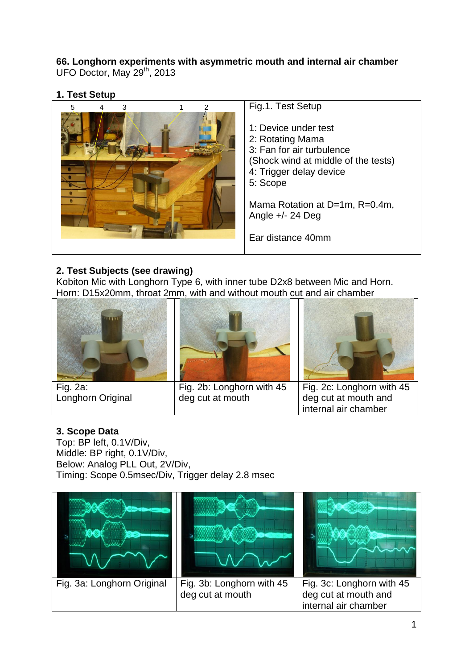# **66. Longhorn experiments with asymmetric mouth and internal air chamber**

UFO Doctor, May 29<sup>th</sup>, 2013

# **1. Test Setup**



# **2. Test Subjects (see drawing)**

Kobiton Mic with Longhorn Type 6, with inner tube D2x8 between Mic and Horn. Horn: D15x20mm, throat 2mm, with and without mouth cut and air chamber



Fig. 2a: Longhorn Original



Fig. 2b: Longhorn with 45 deg cut at mouth



Fig. 2c: Longhorn with 45 deg cut at mouth and internal air chamber

## **3. Scope Data**

Top: BP left, 0.1V/Div, Middle: BP right, 0.1V/Div, Below: Analog PLL Out, 2V/Div, Timing: Scope 0.5msec/Div, Trigger delay 2.8 msec

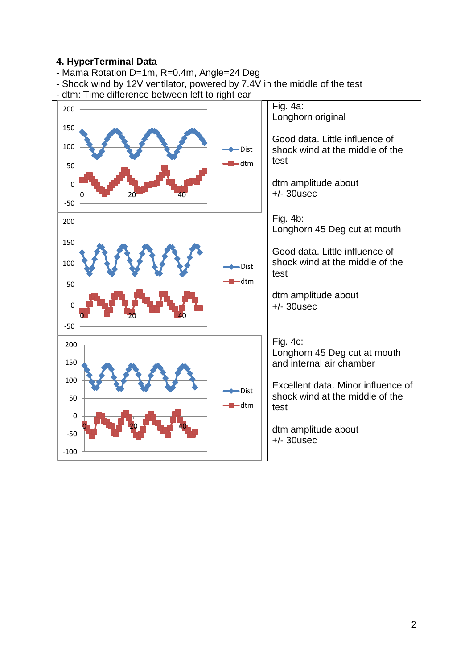#### **4. HyperTerminal Data**

- Mama Rotation D=1m, R=0.4m, Angle=24 Deg
- Shock wind by 12V ventilator, powered by 7.4V in the middle of the test
- dtm: Time difference between left to right ear

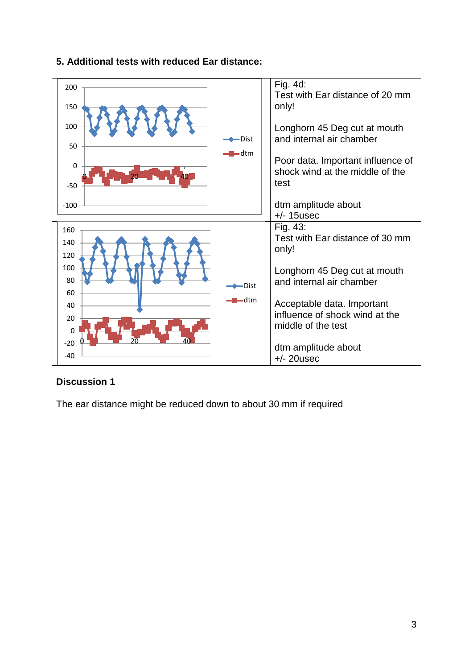

## **5. Additional tests with reduced Ear distance:**

## **Discussion 1**

The ear distance might be reduced down to about 30 mm if required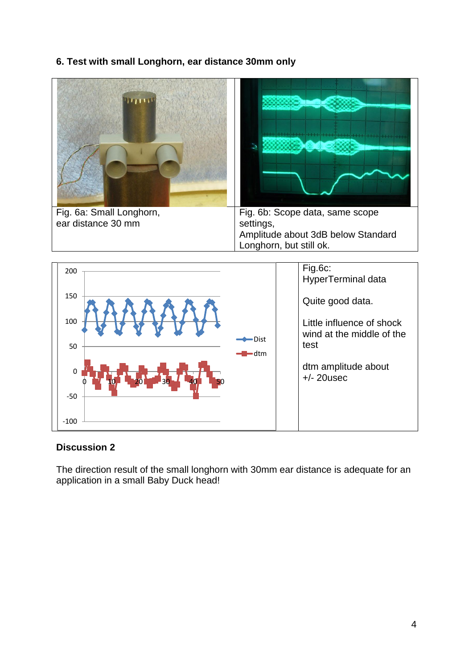## **6. Test with small Longhorn, ear distance 30mm only**



#### **Discussion 2**

-100

The direction result of the small longhorn with 30mm ear distance is adequate for an application in a small Baby Duck head!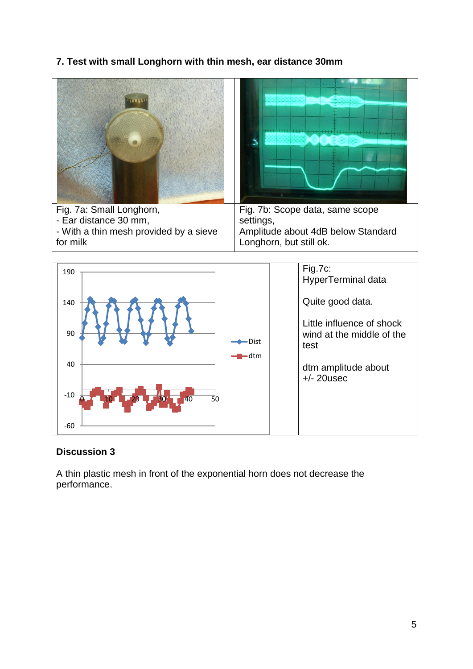## **7. Test with small Longhorn with thin mesh, ear distance 30mm**





#### **Discussion 3**

A thin plastic mesh in front of the exponential horn does not decrease the performance.